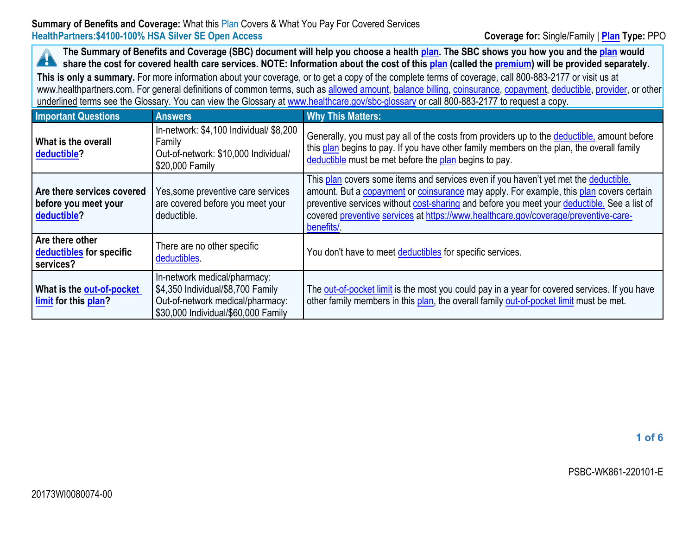The Summary of Benefits and Coverage (SBC) document will help you choose a health [plan](https://www.healthcare.gov/sbc-glossary/#plan). The SBC shows you how you and the plan would A share the cost for covered health care services. NOTE: Information about the cost of this [plan](https://www.healthcare.gov/sbc-glossary/#plan) (called the [premium\)](https://www.healthcare.gov/sbc-glossary/#premium) will be provided separately.

**This is only <sup>a</sup> summary.** For more information about your coverage, or to get <sup>a</sup> copy of the complete terms of coverage, call 800-883-2177 or visit us at www.healthpartners.com. For general definitions of common terms, such as allowed [amount](https://www.healthcare.gov/sbc-glossary/#allowed-amount), [balance](https://www.healthcare.gov/sbc-glossary/#balance-billing) billing, [coinsurance](https://www.healthcare.gov/sbc-glossary/#coinsurance), [copayment](https://www.healthcare.gov/sbc-glossary/#copayment), [deductible](https://www.healthcare.gov/sbc-glossary/#deductible), [provider](https://www.healthcare.gov/sbc-glossary/#provider), or other underlined terms see the Glossary. You can view the Glossary at [www.healthcare.gov/sbc-glossary](https://www.healthcare.gov/sbc-glossary) or call 800-883-2177 to request <sup>a</sup> copy.

| <b>Important Questions</b>                                        | <b>Answers</b>                                                                                                                               | <b>Why This Matters:</b>                                                                                                                                                                                                                                                                                                                                                            |
|-------------------------------------------------------------------|----------------------------------------------------------------------------------------------------------------------------------------------|-------------------------------------------------------------------------------------------------------------------------------------------------------------------------------------------------------------------------------------------------------------------------------------------------------------------------------------------------------------------------------------|
| What is the overall<br>deductible?                                | In-network: \$4,100 Individual/ \$8,200<br>Family<br>Out-of-network: \$10,000 Individual/<br>\$20,000 Family                                 | Generally, you must pay all of the costs from providers up to the deductible, amount before<br>this plan begins to pay. If you have other family members on the plan, the overall family<br>deductible must be met before the plan begins to pay.                                                                                                                                   |
| Are there services covered<br>before you meet your<br>deductible? | Yes, some preventive care services<br>are covered before you meet your<br>deductible.                                                        | This plan covers some items and services even if you haven't yet met the deductible.<br>amount. But a copayment or coinsurance may apply. For example, this plan covers certain<br>preventive services without cost-sharing and before you meet your deductible. See a list of<br>covered preventive services at https://www.healthcare.gov/coverage/preventive-care-<br>benefits/. |
| Are there other<br>deductibles for specific<br>services?          | There are no other specific<br>deductibles.                                                                                                  | You don't have to meet deductibles for specific services.                                                                                                                                                                                                                                                                                                                           |
| What is the out-of-pocket<br>limit for this plan?                 | In-network medical/pharmacy:<br>\$4,350 Individual/\$8,700 Family<br>Out-of-network medical/pharmacy:<br>\$30,000 Individual/\$60,000 Family | The out-of-pocket limit is the most you could pay in a year for covered services. If you have<br>other family members in this plan, the overall family out-of-pocket limit must be met.                                                                                                                                                                                             |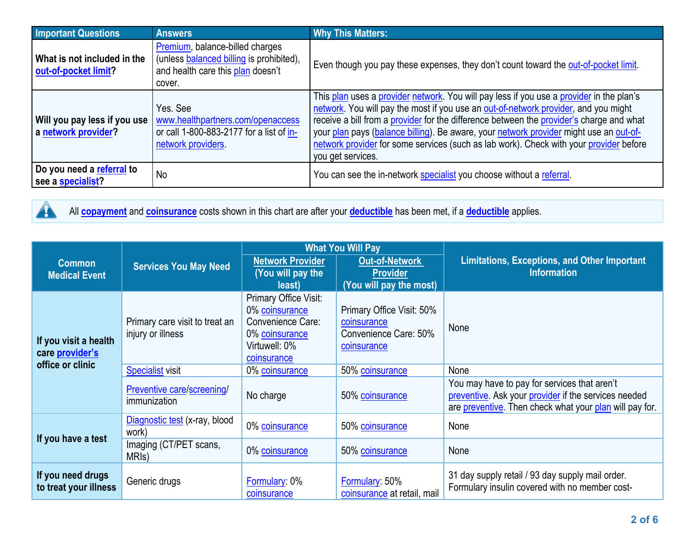| <b>Important Questions</b>                          | <b>Answers</b>                                                                                                             | <b>Why This Matters:</b>                                                                                                                                                                                                                                                                                                                                                                                                                                                             |
|-----------------------------------------------------|----------------------------------------------------------------------------------------------------------------------------|--------------------------------------------------------------------------------------------------------------------------------------------------------------------------------------------------------------------------------------------------------------------------------------------------------------------------------------------------------------------------------------------------------------------------------------------------------------------------------------|
| What is not included in the<br>out-of-pocket limit? | Premium, balance-billed charges<br>(unless balanced billing is prohibited),<br>and health care this plan doesn't<br>cover. | Even though you pay these expenses, they don't count toward the out-of-pocket limit.                                                                                                                                                                                                                                                                                                                                                                                                 |
| Will you pay less if you use<br>a network provider? | Yes, See<br>www.healthpartners.com/openaccess<br>or call 1-800-883-2177 for a list of in-<br>network providers.            | This plan uses a provider network. You will pay less if you use a provider in the plan's<br>network. You will pay the most if you use an out-of-network provider, and you might<br>receive a bill from a provider for the difference between the provider's charge and what<br>your plan pays (balance billing). Be aware, your network provider might use an out-of-<br>network provider for some services (such as lab work). Check with your provider before<br>you get services. |
| Do you need a referral to<br>see a specialist?      | <b>No</b>                                                                                                                  | You can see the in-network specialist you choose without a referral.                                                                                                                                                                                                                                                                                                                                                                                                                 |



All **[copayment](https://www.healthcare.gov/sbc-glossary/#copayment)** and **[coinsurance](https://www.healthcare.gov/sbc-glossary/#coinsurance)** costs shown in this chart are after your **[deductible](https://www.healthcare.gov/sbc-glossary/#deductible)** has been met, if <sup>a</sup> **[deductible](https://www.healthcare.gov/sbc-glossary/#deductible)** applies.

|                                                              |                                                     | <b>What You Will Pay</b>                                                                                       |                                                                                  |                                                                                                                                                                 |  |
|--------------------------------------------------------------|-----------------------------------------------------|----------------------------------------------------------------------------------------------------------------|----------------------------------------------------------------------------------|-----------------------------------------------------------------------------------------------------------------------------------------------------------------|--|
| <b>Common</b><br><b>Medical Event</b>                        | <b>Services You May Need</b>                        | <b>Network Provider</b><br>(You will pay the<br>least)                                                         | <b>Out-of-Network</b><br><b>Provider</b><br>(You will pay the most)              | <b>Limitations, Exceptions, and Other Important</b><br><b>Information</b>                                                                                       |  |
| If you visit a health<br>care provider's<br>office or clinic | Primary care visit to treat an<br>injury or illness | Primary Office Visit:<br>0% coinsurance<br>Convenience Care:<br>0% coinsurance<br>Virtuwell: 0%<br>coinsurance | Primary Office Visit: 50%<br>coinsurance<br>Convenience Care: 50%<br>coinsurance | None                                                                                                                                                            |  |
|                                                              | <b>Specialist visit</b>                             | 0% coinsurance                                                                                                 | 50% coinsurance                                                                  | None                                                                                                                                                            |  |
|                                                              | Preventive care/screening/<br>immunization          | No charge                                                                                                      | 50% coinsurance                                                                  | You may have to pay for services that aren't<br>preventive. Ask your provider if the services needed<br>are preventive. Then check what your plan will pay for. |  |
| If you have a test                                           | Diagnostic test (x-ray, blood<br>work)              | 0% coinsurance                                                                                                 | 50% coinsurance                                                                  | None                                                                                                                                                            |  |
|                                                              | Imaging (CT/PET scans,<br>MRI <sub>s</sub> )        | 0% coinsurance                                                                                                 | 50% coinsurance                                                                  | None                                                                                                                                                            |  |
| If you need drugs<br>to treat your illness                   | Generic drugs                                       | Formulary: 0%<br>coinsurance                                                                                   | Formulary: 50%<br>coinsurance at retail, mail                                    | 31 day supply retail / 93 day supply mail order.<br>Formulary insulin covered with no member cost-                                                              |  |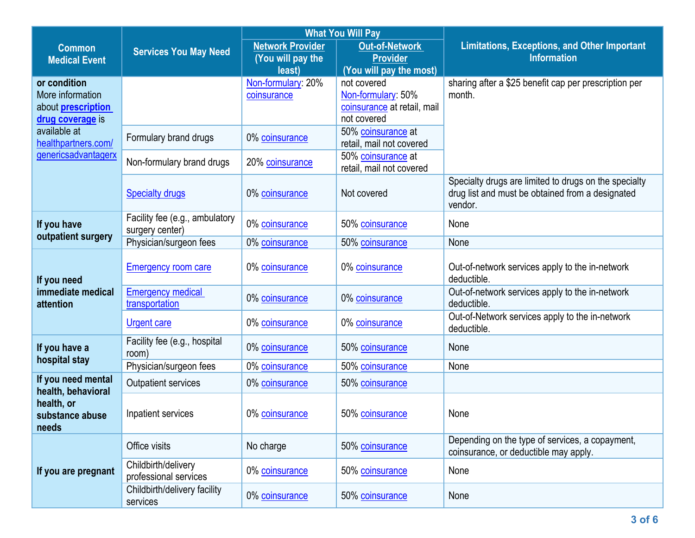|                           | <b>What You Will Pay</b>       |                         |                             |                                                                |  |
|---------------------------|--------------------------------|-------------------------|-----------------------------|----------------------------------------------------------------|--|
| <b>Common</b>             | <b>Services You May Need</b>   | <b>Network Provider</b> | <b>Out-of-Network</b>       | <b>Limitations, Exceptions, and Other Important</b>            |  |
| <b>Medical Event</b>      |                                | (You will pay the       | <b>Provider</b>             | <b>Information</b>                                             |  |
|                           |                                | least)                  | (You will pay the most)     |                                                                |  |
| or condition              |                                | Non-formulary: 20%      | not covered                 | sharing after a \$25 benefit cap per prescription per          |  |
| More information          |                                | coinsurance             | Non-formulary: 50%          | month.                                                         |  |
| about <b>prescription</b> |                                |                         | coinsurance at retail, mail |                                                                |  |
| drug coverage is          |                                |                         | not covered                 |                                                                |  |
| available at              | Formulary brand drugs          | 0% coinsurance          | 50% coinsurance at          |                                                                |  |
| healthpartners.com/       |                                |                         | retail, mail not covered    |                                                                |  |
| genericsadvantagerx       | Non-formulary brand drugs      | 20% coinsurance         | 50% coinsurance at          |                                                                |  |
|                           |                                |                         | retail, mail not covered    |                                                                |  |
|                           |                                |                         |                             | Specialty drugs are limited to drugs on the specialty          |  |
|                           | <b>Specialty drugs</b>         | 0% coinsurance          | Not covered                 | drug list and must be obtained from a designated               |  |
|                           |                                |                         |                             | vendor.                                                        |  |
| If you have               | Facility fee (e.g., ambulatory | 0% coinsurance          | 50% coinsurance             | None                                                           |  |
| outpatient surgery        | surgery center)                |                         |                             |                                                                |  |
|                           | Physician/surgeon fees         | 0% coinsurance          | 50% coinsurance             | None                                                           |  |
|                           |                                |                         |                             |                                                                |  |
|                           | <b>Emergency room care</b>     | 0% coinsurance          | 0% coinsurance              | Out-of-network services apply to the in-network                |  |
| If you need               |                                |                         |                             | deductible.                                                    |  |
| immediate medical         | <b>Emergency medical</b>       | 0% coinsurance          | 0% coinsurance              | Out-of-network services apply to the in-network                |  |
| attention                 | transportation                 |                         |                             | deductible.                                                    |  |
|                           | <b>Urgent care</b>             | 0% coinsurance          | 0% coinsurance              | Out-of-Network services apply to the in-network<br>deductible. |  |
|                           | Facility fee (e.g., hospital   |                         |                             |                                                                |  |
| If you have a             | room)                          | 0% coinsurance          | 50% coinsurance             | None                                                           |  |
| hospital stay             | Physician/surgeon fees         | 0% coinsurance          | 50% coinsurance             | None                                                           |  |
| If you need mental        |                                |                         |                             |                                                                |  |
| health, behavioral        | <b>Outpatient services</b>     | 0% coinsurance          | 50% coinsurance             |                                                                |  |
| health, or                |                                |                         |                             |                                                                |  |
| substance abuse           | Inpatient services             | 0% coinsurance          | 50% coinsurance             | None                                                           |  |
| needs                     |                                |                         |                             |                                                                |  |
|                           |                                |                         |                             | Depending on the type of services, a copayment,                |  |
|                           | Office visits                  | No charge               | 50% coinsurance             | coinsurance, or deductible may apply.                          |  |
| If you are pregnant       | Childbirth/delivery            |                         |                             |                                                                |  |
|                           | professional services          | 0% coinsurance          | 50% coinsurance             | None                                                           |  |
|                           | Childbirth/delivery facility   | 0% coinsurance          | 50% coinsurance             | None                                                           |  |
|                           | services                       |                         |                             |                                                                |  |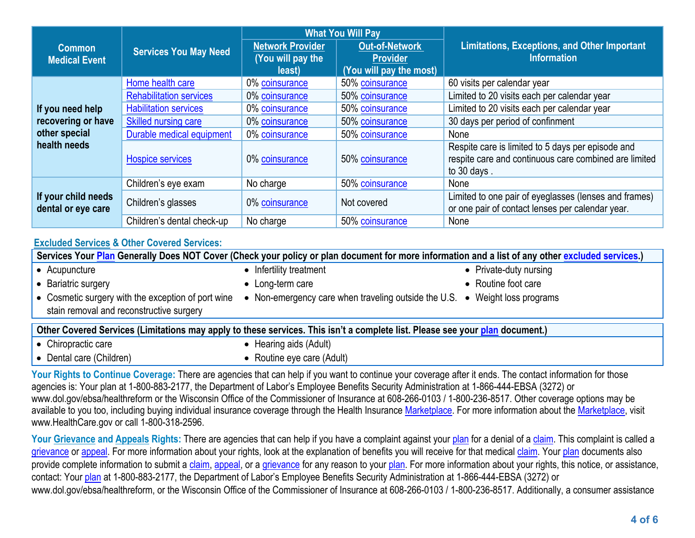|                                                                         | <b>Services You May Need</b>         | <b>What You Will Pay</b> |                         |                                                       |  |
|-------------------------------------------------------------------------|--------------------------------------|--------------------------|-------------------------|-------------------------------------------------------|--|
| <b>Common</b><br><b>Medical Event</b>                                   |                                      | <b>Network Provider</b>  | <b>Out-of-Network</b>   | <b>Limitations, Exceptions, and Other Important</b>   |  |
|                                                                         |                                      | (You will pay the        | <b>Provider</b>         | <b>Information</b>                                    |  |
|                                                                         |                                      | least)                   | (You will pay the most) |                                                       |  |
| If you need help<br>recovering or have<br>other special<br>health needs | Home health care                     | 0% coinsurance           | 50% coinsurance         | 60 visits per calendar year                           |  |
|                                                                         | <b>Rehabilitation services</b>       | 0% coinsurance           | 50% coinsurance         | Limited to 20 visits each per calendar year           |  |
|                                                                         | <b>Habilitation services</b>         | 0% coinsurance           | 50% coinsurance         | Limited to 20 visits each per calendar year           |  |
|                                                                         | <b>Skilled nursing care</b>          | 0% coinsurance           | 50% coinsurance         | 30 days per period of confinment                      |  |
|                                                                         | Durable medical equipment            | 0% coinsurance           | 50% coinsurance         | None                                                  |  |
|                                                                         | <b>Hospice services</b>              | 0% coinsurance           | 50% coinsurance         | Respite care is limited to 5 days per episode and     |  |
|                                                                         |                                      |                          |                         | respite care and continuous care combined are limited |  |
|                                                                         |                                      |                          |                         | to 30 days.                                           |  |
| If your child needs<br>dental or eye care                               | Children's eye exam                  | No charge                | 50% coinsurance         | None                                                  |  |
|                                                                         | Children's glasses<br>0% coinsurance |                          | Not covered             | Limited to one pair of eyeglasses (lenses and frames) |  |
|                                                                         |                                      |                          |                         | or one pair of contact lenses per calendar year.      |  |
|                                                                         | Children's dental check-up           | No charge                | 50% coinsurance         | None                                                  |  |

## **[Excluded](https://www.healthcare.gov/sbc-glossary/#excluded-services) Services & Other Covered Services:**

Services Your [Plan](https://www.healthcare.gov/sbc-glossary/#plan) Generally Does NOT Cover (Check your policy or plan document for more information and a list of any other excluded [services](https://www.healthcare.gov/sbc-glossary/#excluded-services).) • Acupuncture • Infertility treatment **•** Private-duty nursing Bariatric surgery Long-term care Routine foot care **•** Cosmetic surgery with the exception of port wine stain removal and reconstructive surgery • Non-emergency care when traveling outside the U.S. • Weight loss programs Other Covered Services (Limitations may apply to these services. This isn't a complete list. Please see your [plan](https://www.healthcare.gov/sbc-glossary/#excluded-services) document.) • Chiropractic care  $\bullet$  Hearing aids (Adult) • Dental care (Children)  $\bullet$  Routine eye care (Adult)

Your Rights to Continue Coverage: There are agencies that can help if you want to continue your coverage after it ends. The contact information for those agencies is: Your plan at 1-800-883-2177, the Department of Labor'<sup>s</sup> Employee Benefits Security Administration at 1-866-444-EBSA (3272) or www.dol.gov/ebsa/healthreform or the Wisconsin Office of the Commissioner of Insurance at 608-266-0103 / 1-800-236-8517. Other coverage options may be available to you too, including buying individual insurance coverage through the Health Insurance [Marketplace](https://www.healthcare.gov/sbc-glossary/#marketplace). For more information about the Marketplace, visit www.HealthCare.gov or call 1-800-318-2596.

Your Grievance and [Appeals](https://www.healthcare.gov/sbc-glossary/#appeal) Rights: There are agencies that can help if you have a complaint against your [plan](https://www.healthcare.gov/sbc-glossary/#plan) for a denial of a [claim](https://www.healthcare.gov/sbc-glossary/#claim). This complaint is called a [grievance](https://www.healthcare.gov/sbc-glossary/#grievance) or [appeal](https://www.healthcare.gov/sbc-glossary/#appeal). For more information about your rights, look at the explanation of benefits you will receive for that medical [claim](https://www.healthcare.gov/sbc-glossary/#claim). Your [plan](https://www.healthcare.gov/sbc-glossary/#plan) documents also provide complete information to submit a [claim](https://www.healthcare.gov/sbc-glossary/#claim), [appeal](https://www.healthcare.gov/sbc-glossary/#appeal), or a [grievance](https://www.healthcare.gov/sbc-glossary/#grievance) for any reason to your [plan](https://www.healthcare.gov/sbc-glossary/#plan). For more information about your rights, this notice, or assistance, contact: Your [plan](https://www.healthcare.gov/sbc-glossary/#plan) at 1-800-883-2177, the Department of Labor'<sup>s</sup> Employee Benefits Security Administration at 1-866-444-EBSA (3272) or www.dol.gov/ebsa/healthreform, or the Wisconsin Office of the Commissioner of Insurance at 608-266-0103 / 1-800-236-8517. Additionally, <sup>a</sup> consumer assistance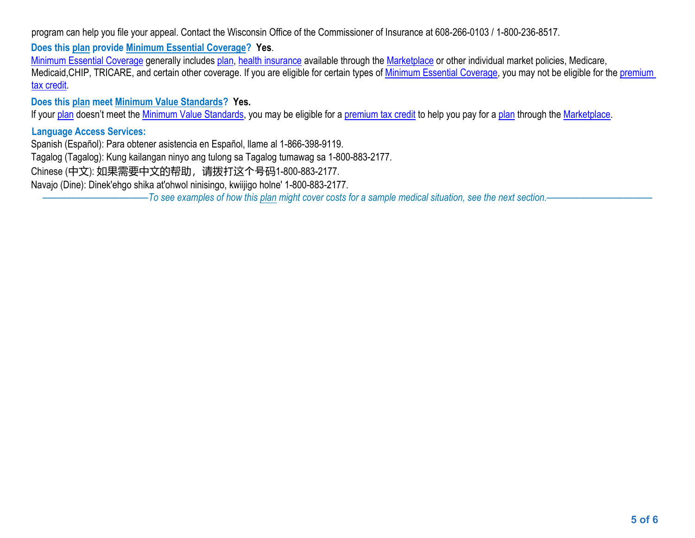program can help you file your appeal. Contact the Wisconsin Office of the Commissioner of Insurance at 608-266-0103 / 1-800-236-8517.

**Does this plan provide Minimum Essential Coverage? Yes**.

Minimum Essential [Coverage](https://www.healthcare.gov/sbc-glossary/#minimum-essential-coverage) generally includes [plan](https://www.healthcare.gov/sbc-glossary/#plan), health [insurance](https://www.healthcare.gov/sbc-glossary/#health-insurance) available through the [Marketplace](https://www.healthcare.gov/sbc-glossary/#marketplace) or other individual market policies, Medicare, Medicaid, CHIP, TRICARE, and certain other coverage. If you are eligible for certain types of Minimum Essential [Coverage](https://www.healthcare.gov/sbc-glossary/#minimum-essential-coverage), you may not be eligible for the [premium](https://www.healthcare.gov/sbc-glossary/#premium-tax-credits) tax [credit](https://www.healthcare.gov/sbc-glossary/#premium-tax-credits).

**Does this plan meet Minimum Value Standards? Yes.**

If your [plan](https://www.healthcare.gov/sbc-glossary/#plan) doesn't meet the Minimum Value [Standards](https://www.healthcare.gov/sbc-glossary/#minimum-value-standard), you may be eligible for a [premium](https://www.healthcare.gov/sbc-glossary/#premium-tax-credits) tax credit to help you pay for a plan through the [Marketplace](https://www.healthcare.gov/sbc-glossary/#marketplace).

## **Language Access Services:**

Spanish (Español): Para obtener asistencia en Español, llame al 1-866-398-9119.

Tagalog (Tagalog): Kung kailangan ninyo ang tulong sa Tagalog tumawag sa 1-800-883-2177.

Chinese (中文): 如果需要中文的帮助,请拨打这个号码1-800-883-2177.

Navajo (Dine): Dinek'ehgo shika at'ohwol ninisingo, kwiijigo holne' 1-800-883-2177.

-To see examples of how this [plan](https://www.healthcare.gov/sbc-glossary/#plan) might cover costs for a sample medical situation, see the next section.-